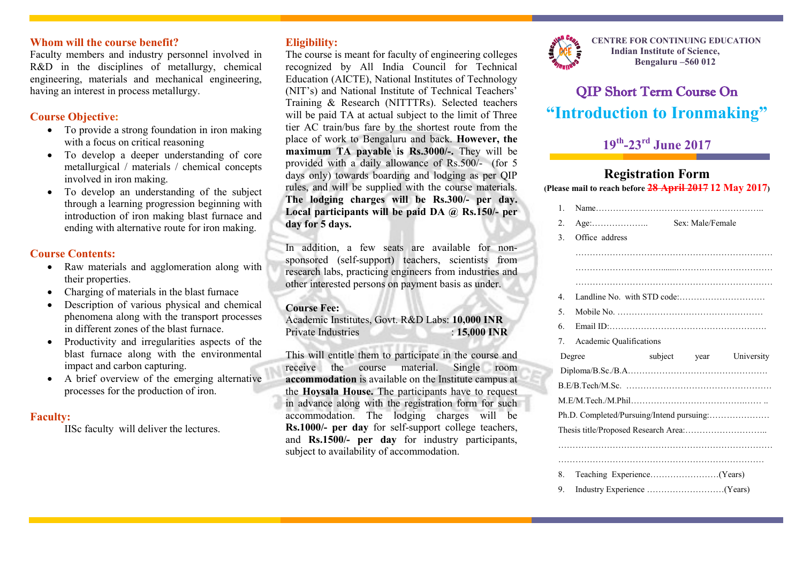### **Whom will the course benefit?**

Faculty members and industry personnel involved in R&D in the disciplines of metallurgy, chemical engineering, materials and mechanical engineering, having an interest in process metallurgy.

### **Course Objective:**

- To provide a strong foundation in iron making with a focus on critical reasoning
- To develop a deeper understanding of core metallurgical / materials / chemical concepts involved in iron making.
- To develop an understanding of the subject through a learning progression beginning with introduction of iron making blast furnace and ending with alternative route for iron making.

### **Course Contents:**

- Raw materials and agglomeration along with their properties.
- Charging of materials in the blast furnace
- Description of various physical and chemical phenomena along with the transport processes in different zones of the blast furnace.
- Productivity and irregularities aspects of the blast furnace along with the environmental impact and carbon capturing.
- A brief overview of the emerging alternative processes for the production of iron.

#### **Faculty:**

IISc faculty will deliver the lectures.

## **Eligibility:**

The course is meant for faculty of engineering colleges recognized by All India Council for Technical Education (AICTE), National Institutes of Technology (NIT's) and National Institute of Technical Teachers' Training & Research (NITTTRs). Selected teachers will be paid TA at actual subject to the limit of Three tier AC train/bus fare by the shortest route from the place of work to Bengaluru and back. **However, the maximum TA payable is Rs.3000/-.** They will be provided with a daily allowance of Rs.500/- (for 5 days only) towards boarding and lodging as per QIP rules, and will be supplied with the course materials. **The lodging charges will be Rs.300/- per day. Local participants will be paid DA @ Rs.150/- per day for 5 days.**

In addition, a few seats are available for nonsponsored (self-support) teachers, scientists from research labs, practicing engineers from industries and other interested persons on payment basis as under.

#### **Course Fee:**

Academic Institutes, Govt. R&D Labs: **10,000 INR** Private Industries : **15,000 INR** 

This will entitle them to participate in the course and receive the course material. Single room **accommodation** is available on the Institute campus at the **Hoysala House.** The participants have to request in advance along with the registration form for such accommodation. The lodging charges will be **Rs.1000/- per day** for self-support college teachers, and **Rs.1500/- per day** for industry participants, subject to availability of accommodation.



**CENTRE FOR CONTINUING EDUCATION Indian Institute of Science, Bengaluru –560 012**

# QIP Short Term Course On **"Introduction to Ironmaking"**

# **19th -23rd June 2017**

# **Registration Form**

**(Please mail to reach before 28 April 2017 12 May 2017)**

|  | $\mathbf{1}$ .   |                                           |                         |  |  |  |  |  |
|--|------------------|-------------------------------------------|-------------------------|--|--|--|--|--|
|  | $\mathfrak{2}$ . | $Age: \dots \dots \dots \dots \dots$      | Sex: Male/Female        |  |  |  |  |  |
|  | 3.               | Office address                            |                         |  |  |  |  |  |
|  |                  |                                           |                         |  |  |  |  |  |
|  |                  |                                           |                         |  |  |  |  |  |
|  |                  |                                           |                         |  |  |  |  |  |
|  | 4                |                                           |                         |  |  |  |  |  |
|  | 5.               |                                           |                         |  |  |  |  |  |
|  | 6                |                                           |                         |  |  |  |  |  |
|  | 7.               | <b>Academic Qualifications</b>            |                         |  |  |  |  |  |
|  |                  | Degree                                    | subject year University |  |  |  |  |  |
|  |                  |                                           |                         |  |  |  |  |  |
|  |                  |                                           |                         |  |  |  |  |  |
|  |                  |                                           |                         |  |  |  |  |  |
|  |                  |                                           |                         |  |  |  |  |  |
|  |                  | Ph.D. Completed/Pursuing/Intend pursuing: |                         |  |  |  |  |  |
|  |                  |                                           |                         |  |  |  |  |  |
|  |                  |                                           |                         |  |  |  |  |  |
|  |                  |                                           |                         |  |  |  |  |  |
|  | 8.               |                                           |                         |  |  |  |  |  |